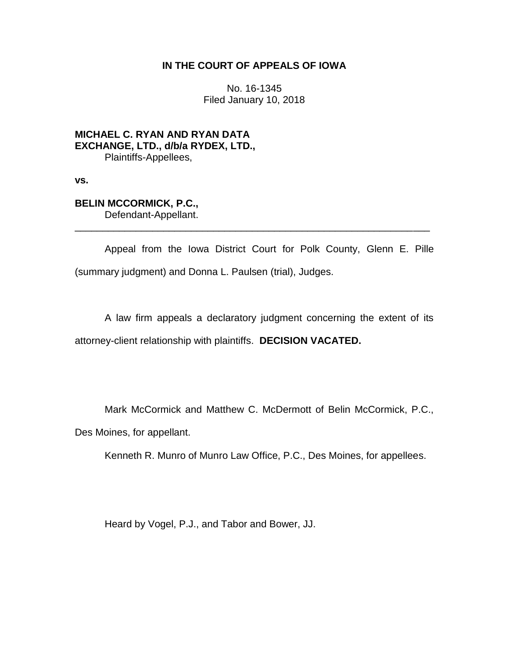## **IN THE COURT OF APPEALS OF IOWA**

No. 16-1345 Filed January 10, 2018

**MICHAEL C. RYAN AND RYAN DATA EXCHANGE, LTD., d/b/a RYDEX, LTD.,** Plaintiffs-Appellees,

**vs.**

# **BELIN MCCORMICK, P.C.,**

Defendant-Appellant. \_\_\_\_\_\_\_\_\_\_\_\_\_\_\_\_\_\_\_\_\_\_\_\_\_\_\_\_\_\_\_\_\_\_\_\_\_\_\_\_\_\_\_\_\_\_\_\_\_\_\_\_\_\_\_\_\_\_\_\_\_\_\_\_

Appeal from the Iowa District Court for Polk County, Glenn E. Pille (summary judgment) and Donna L. Paulsen (trial), Judges.

A law firm appeals a declaratory judgment concerning the extent of its attorney-client relationship with plaintiffs. **DECISION VACATED.**

Mark McCormick and Matthew C. McDermott of Belin McCormick, P.C., Des Moines, for appellant.

Kenneth R. Munro of Munro Law Office, P.C., Des Moines, for appellees.

Heard by Vogel, P.J., and Tabor and Bower, JJ.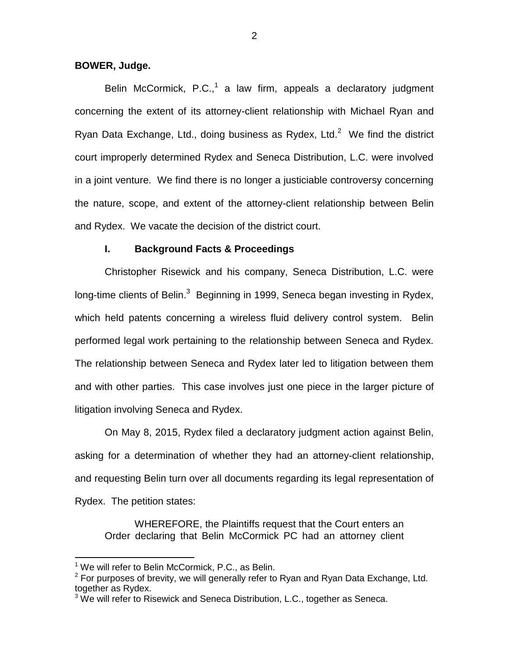## **BOWER, Judge.**

Belin McCormick, P.C.,<sup>1</sup> a law firm, appeals a declaratory judgment concerning the extent of its attorney-client relationship with Michael Ryan and Ryan Data Exchange, Ltd., doing business as Rydex, Ltd. $2$  We find the district court improperly determined Rydex and Seneca Distribution, L.C. were involved in a joint venture. We find there is no longer a justiciable controversy concerning the nature, scope, and extent of the attorney-client relationship between Belin and Rydex. We vacate the decision of the district court.

#### **I. Background Facts & Proceedings**

Christopher Risewick and his company, Seneca Distribution, L.C. were long-time clients of Belin.<sup>3</sup> Beginning in 1999, Seneca began investing in Rydex, which held patents concerning a wireless fluid delivery control system. Belin performed legal work pertaining to the relationship between Seneca and Rydex. The relationship between Seneca and Rydex later led to litigation between them and with other parties. This case involves just one piece in the larger picture of litigation involving Seneca and Rydex.

On May 8, 2015, Rydex filed a declaratory judgment action against Belin, asking for a determination of whether they had an attorney-client relationship, and requesting Belin turn over all documents regarding its legal representation of Rydex. The petition states:

WHEREFORE, the Plaintiffs request that the Court enters an Order declaring that Belin McCormick PC had an attorney client

 $\overline{a}$ 

 $1$  We will refer to Belin McCormick, P.C., as Belin.

 $2$  For purposes of brevity, we will generally refer to Ryan and Ryan Data Exchange, Ltd. together as Rydex.

 $3$  We will refer to Risewick and Seneca Distribution, L.C., together as Seneca.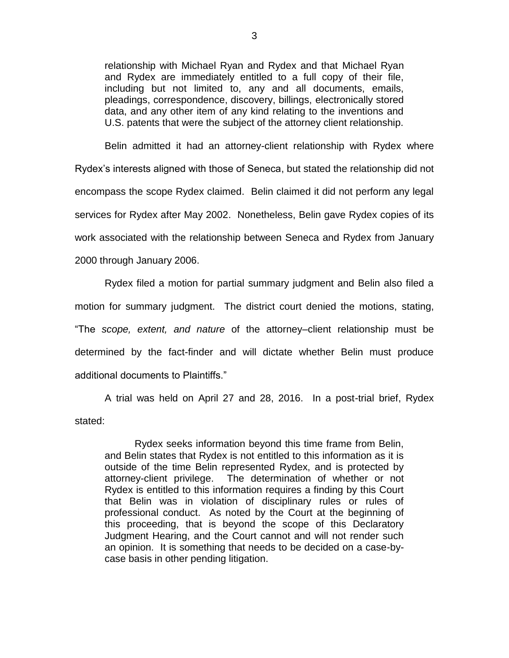relationship with Michael Ryan and Rydex and that Michael Ryan and Rydex are immediately entitled to a full copy of their file, including but not limited to, any and all documents, emails, pleadings, correspondence, discovery, billings, electronically stored data, and any other item of any kind relating to the inventions and U.S. patents that were the subject of the attorney client relationship.

Belin admitted it had an attorney-client relationship with Rydex where Rydex's interests aligned with those of Seneca, but stated the relationship did not encompass the scope Rydex claimed. Belin claimed it did not perform any legal services for Rydex after May 2002. Nonetheless, Belin gave Rydex copies of its work associated with the relationship between Seneca and Rydex from January 2000 through January 2006.

Rydex filed a motion for partial summary judgment and Belin also filed a motion for summary judgment. The district court denied the motions, stating, "The *scope, extent, and nature* of the attorney–client relationship must be determined by the fact-finder and will dictate whether Belin must produce additional documents to Plaintiffs."

A trial was held on April 27 and 28, 2016. In a post-trial brief, Rydex stated:

Rydex seeks information beyond this time frame from Belin, and Belin states that Rydex is not entitled to this information as it is outside of the time Belin represented Rydex, and is protected by attorney-client privilege. The determination of whether or not Rydex is entitled to this information requires a finding by this Court that Belin was in violation of disciplinary rules or rules of professional conduct. As noted by the Court at the beginning of this proceeding, that is beyond the scope of this Declaratory Judgment Hearing, and the Court cannot and will not render such an opinion. It is something that needs to be decided on a case-bycase basis in other pending litigation.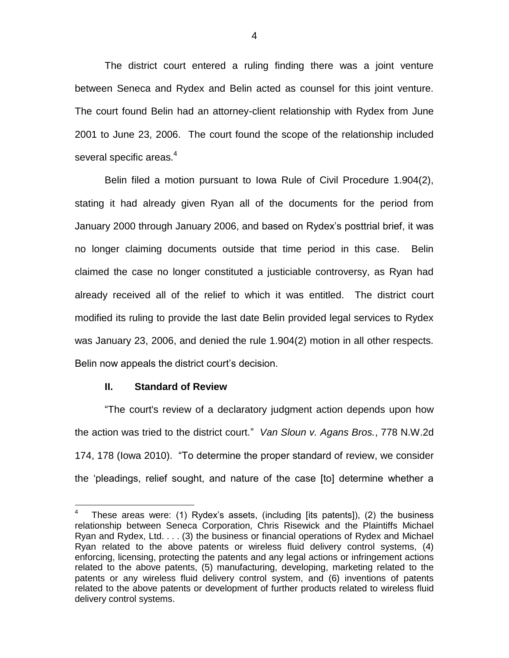The district court entered a ruling finding there was a joint venture between Seneca and Rydex and Belin acted as counsel for this joint venture. The court found Belin had an attorney-client relationship with Rydex from June 2001 to June 23, 2006. The court found the scope of the relationship included several specific areas.<sup>4</sup>

Belin filed a motion pursuant to Iowa Rule of Civil Procedure 1.904(2), stating it had already given Ryan all of the documents for the period from January 2000 through January 2006, and based on Rydex's posttrial brief, it was no longer claiming documents outside that time period in this case. Belin claimed the case no longer constituted a justiciable controversy, as Ryan had already received all of the relief to which it was entitled. The district court modified its ruling to provide the last date Belin provided legal services to Rydex was January 23, 2006, and denied the rule 1.904(2) motion in all other respects. Belin now appeals the district court's decision.

#### **II. Standard of Review**

"The court's review of a declaratory judgment action depends upon how the action was tried to the district court." *Van Sloun v. Agans Bros.*, 778 N.W.2d 174, 178 (Iowa 2010). "To determine the proper standard of review, we consider the 'pleadings, relief sought, and nature of the case [to] determine whether a

 $\overline{a}$ 4 These areas were: (1) Rydex's assets, (including [its patents]), (2) the business relationship between Seneca Corporation, Chris Risewick and the Plaintiffs Michael Ryan and Rydex, Ltd. . . . (3) the business or financial operations of Rydex and Michael Ryan related to the above patents or wireless fluid delivery control systems, (4) enforcing, licensing, protecting the patents and any legal actions or infringement actions related to the above patents, (5) manufacturing, developing, marketing related to the patents or any wireless fluid delivery control system, and (6) inventions of patents related to the above patents or development of further products related to wireless fluid delivery control systems.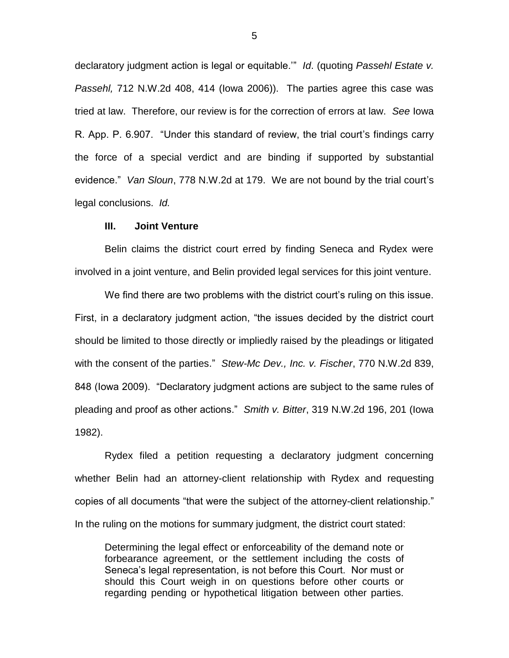declaratory judgment action is legal or equitable.'" *Id*. (quoting *Passehl Estate v. Passehl,* 712 N.W.2d 408, 414 (Iowa 2006)). The parties agree this case was tried at law. Therefore, our review is for the correction of errors at law. *See* Iowa R. App. P. 6.907. "Under this standard of review, the trial court's findings carry the force of a special verdict and are binding if supported by substantial evidence." *Van Sloun*, 778 N.W.2d at 179. We are not bound by the trial court's legal conclusions. *Id.*

#### **III. Joint Venture**

Belin claims the district court erred by finding Seneca and Rydex were involved in a joint venture, and Belin provided legal services for this joint venture.

We find there are two problems with the district court's ruling on this issue. First, in a declaratory judgment action, "the issues decided by the district court should be limited to those directly or impliedly raised by the pleadings or litigated with the consent of the parties." *Stew-Mc Dev., Inc. v. Fischer*, 770 N.W.2d 839, 848 (Iowa 2009). "Declaratory judgment actions are subject to the same rules of pleading and proof as other actions." *Smith v. Bitter*, 319 N.W.2d 196, 201 (Iowa 1982).

Rydex filed a petition requesting a declaratory judgment concerning whether Belin had an attorney-client relationship with Rydex and requesting copies of all documents "that were the subject of the attorney-client relationship." In the ruling on the motions for summary judgment, the district court stated:

Determining the legal effect or enforceability of the demand note or forbearance agreement, or the settlement including the costs of Seneca's legal representation, is not before this Court. Nor must or should this Court weigh in on questions before other courts or regarding pending or hypothetical litigation between other parties.

5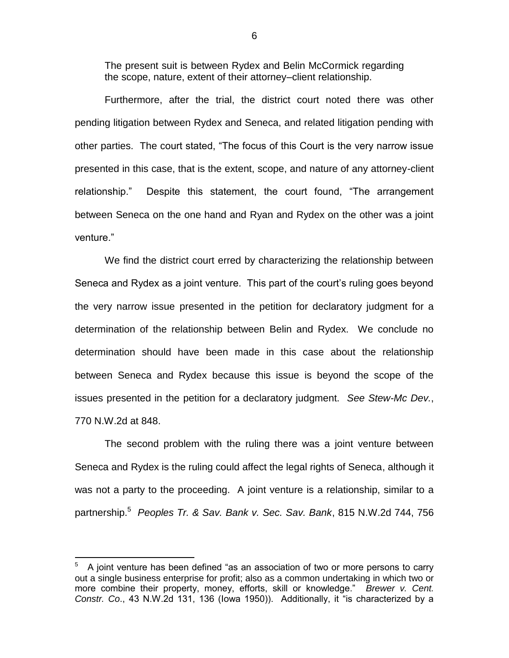The present suit is between Rydex and Belin McCormick regarding the scope, nature, extent of their attorney–client relationship.

Furthermore, after the trial, the district court noted there was other pending litigation between Rydex and Seneca, and related litigation pending with other parties. The court stated, "The focus of this Court is the very narrow issue presented in this case, that is the extent, scope, and nature of any attorney-client relationship." Despite this statement, the court found, "The arrangement between Seneca on the one hand and Ryan and Rydex on the other was a joint venture."

We find the district court erred by characterizing the relationship between Seneca and Rydex as a joint venture. This part of the court's ruling goes beyond the very narrow issue presented in the petition for declaratory judgment for a determination of the relationship between Belin and Rydex. We conclude no determination should have been made in this case about the relationship between Seneca and Rydex because this issue is beyond the scope of the issues presented in the petition for a declaratory judgment. *See Stew-Mc Dev.*, 770 N.W.2d at 848.

The second problem with the ruling there was a joint venture between Seneca and Rydex is the ruling could affect the legal rights of Seneca, although it was not a party to the proceeding. A joint venture is a relationship, similar to a partnership.<sup>5</sup> *Peoples Tr. & Sav. Bank v. Sec. Sav. Bank*, 815 N.W.2d 744, 756

 $\overline{a}$ 

<sup>5</sup> A joint venture has been defined "as an association of two or more persons to carry out a single business enterprise for profit; also as a common undertaking in which two or more combine their property, money, efforts, skill or knowledge." *Brewer v. Cent. Constr. Co*., 43 N.W.2d 131, 136 (Iowa 1950)). Additionally, it "is characterized by a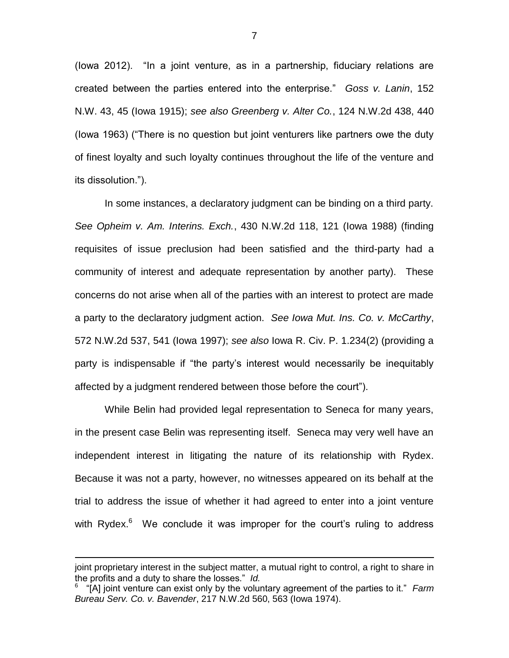(Iowa 2012). "In a joint venture, as in a partnership, fiduciary relations are created between the parties entered into the enterprise." *Goss v. Lanin*, 152 N.W. 43, 45 (Iowa 1915); *see also Greenberg v. Alter Co.*, 124 N.W.2d 438, 440 (Iowa 1963) ("There is no question but joint venturers like partners owe the duty of finest loyalty and such loyalty continues throughout the life of the venture and its dissolution.").

In some instances, a declaratory judgment can be binding on a third party. *See Opheim v. Am. Interins. Exch.*, 430 N.W.2d 118, 121 (Iowa 1988) (finding requisites of issue preclusion had been satisfied and the third-party had a community of interest and adequate representation by another party). These concerns do not arise when all of the parties with an interest to protect are made a party to the declaratory judgment action. *See Iowa Mut. Ins. Co. v. McCarthy*, 572 N.W.2d 537, 541 (Iowa 1997); *see also* Iowa R. Civ. P. 1.234(2) (providing a party is indispensable if "the party's interest would necessarily be inequitably affected by a judgment rendered between those before the court").

While Belin had provided legal representation to Seneca for many years, in the present case Belin was representing itself. Seneca may very well have an independent interest in litigating the nature of its relationship with Rydex. Because it was not a party, however, no witnesses appeared on its behalf at the trial to address the issue of whether it had agreed to enter into a joint venture with Rydex. $6$  We conclude it was improper for the court's ruling to address

 $\overline{a}$ 

joint proprietary interest in the subject matter, a mutual right to control, a right to share in the profits and a duty to share the losses." *Id.*

<sup>6</sup> "[A] joint venture can exist only by the voluntary agreement of the parties to it." *Farm Bureau Serv. Co. v. Bavender*, 217 N.W.2d 560, 563 (Iowa 1974).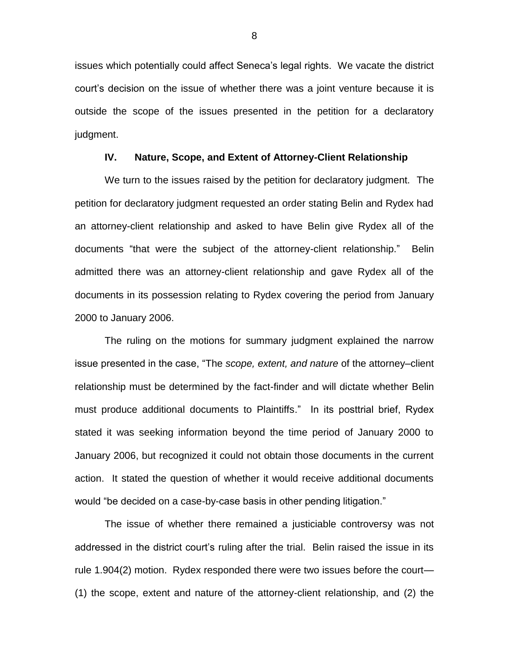issues which potentially could affect Seneca's legal rights. We vacate the district court's decision on the issue of whether there was a joint venture because it is outside the scope of the issues presented in the petition for a declaratory judgment.

## **IV. Nature, Scope, and Extent of Attorney-Client Relationship**

We turn to the issues raised by the petition for declaratory judgment. The petition for declaratory judgment requested an order stating Belin and Rydex had an attorney-client relationship and asked to have Belin give Rydex all of the documents "that were the subject of the attorney-client relationship." Belin admitted there was an attorney-client relationship and gave Rydex all of the documents in its possession relating to Rydex covering the period from January 2000 to January 2006.

The ruling on the motions for summary judgment explained the narrow issue presented in the case, "The *scope, extent, and nature* of the attorney–client relationship must be determined by the fact-finder and will dictate whether Belin must produce additional documents to Plaintiffs." In its posttrial brief, Rydex stated it was seeking information beyond the time period of January 2000 to January 2006, but recognized it could not obtain those documents in the current action. It stated the question of whether it would receive additional documents would "be decided on a case-by-case basis in other pending litigation."

The issue of whether there remained a justiciable controversy was not addressed in the district court's ruling after the trial. Belin raised the issue in its rule 1.904(2) motion. Rydex responded there were two issues before the court— (1) the scope, extent and nature of the attorney-client relationship, and (2) the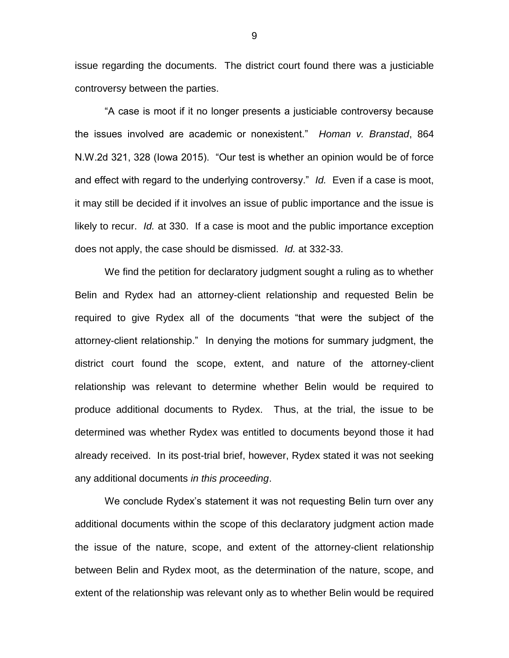issue regarding the documents. The district court found there was a justiciable controversy between the parties.

"A case is moot if it no longer presents a justiciable controversy because the issues involved are academic or nonexistent." *Homan v. Branstad*, 864 N.W.2d 321, 328 (Iowa 2015). "Our test is whether an opinion would be of force and effect with regard to the underlying controversy." *Id.* Even if a case is moot, it may still be decided if it involves an issue of public importance and the issue is likely to recur. *Id.* at 330. If a case is moot and the public importance exception does not apply, the case should be dismissed. *Id.* at 332-33.

We find the petition for declaratory judgment sought a ruling as to whether Belin and Rydex had an attorney-client relationship and requested Belin be required to give Rydex all of the documents "that were the subject of the attorney-client relationship." In denying the motions for summary judgment, the district court found the scope, extent, and nature of the attorney-client relationship was relevant to determine whether Belin would be required to produce additional documents to Rydex. Thus, at the trial, the issue to be determined was whether Rydex was entitled to documents beyond those it had already received. In its post-trial brief, however, Rydex stated it was not seeking any additional documents *in this proceeding*.

We conclude Rydex's statement it was not requesting Belin turn over any additional documents within the scope of this declaratory judgment action made the issue of the nature, scope, and extent of the attorney-client relationship between Belin and Rydex moot, as the determination of the nature, scope, and extent of the relationship was relevant only as to whether Belin would be required

9